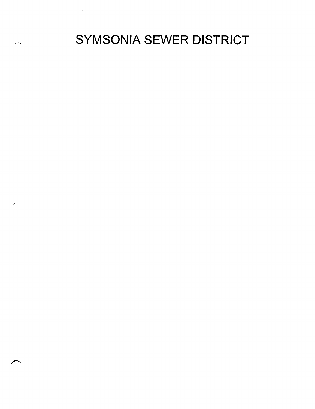SYMSONIA SEWER DISTRICT

 $\mathcal{L}^{\text{max}}_{\text{max}}$  and  $\mathcal{L}^{\text{max}}_{\text{max}}$ 

 $\label{eq:2.1} \frac{1}{\sqrt{2}}\int_{\mathbb{R}^3}\frac{1}{\sqrt{2}}\left(\frac{1}{\sqrt{2}}\right)^2\frac{1}{\sqrt{2}}\left(\frac{1}{\sqrt{2}}\right)^2\frac{1}{\sqrt{2}}\left(\frac{1}{\sqrt{2}}\right)^2\frac{1}{\sqrt{2}}\left(\frac{1}{\sqrt{2}}\right)^2\frac{1}{\sqrt{2}}\left(\frac{1}{\sqrt{2}}\right)^2.$ 

 $\sim 10^{-1}$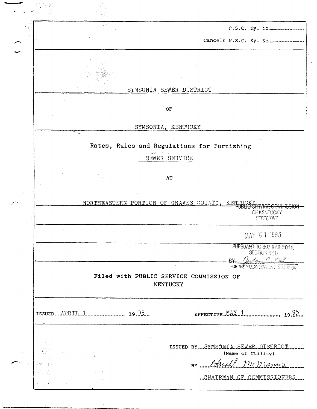|                          |  |                                                     |                       | P.S.C. Ky. No                                      |       |
|--------------------------|--|-----------------------------------------------------|-----------------------|----------------------------------------------------|-------|
|                          |  |                                                     | Cancels P.S.C. Ky. No |                                                    |       |
|                          |  |                                                     |                       |                                                    |       |
|                          |  |                                                     |                       |                                                    |       |
|                          |  | SYMSONIA SEWER DISTRICT                             |                       |                                                    |       |
|                          |  |                                                     |                       |                                                    |       |
|                          |  | OF                                                  |                       |                                                    |       |
| $\overline{\phantom{a}}$ |  | SYMSONIA, KENTUCKY                                  |                       |                                                    |       |
|                          |  | Rates, Rules and Regulations for Furnishing         |                       |                                                    |       |
|                          |  | SEWER SERVICE                                       |                       |                                                    |       |
|                          |  |                                                     |                       |                                                    |       |
|                          |  | AT                                                  |                       |                                                    |       |
|                          |  | NORTHEASTERN PORTION OF GRAVES COUNTY,              | KE.                   |                                                    |       |
|                          |  |                                                     |                       | गजन<br>OF KENTUCKY<br>EFFECTIVE                    |       |
|                          |  |                                                     |                       | MAY 01 1995                                        |       |
|                          |  |                                                     |                       | PURSUANT TO 807 KAR 5:011,<br><b>SECTION 9 (1)</b> |       |
|                          |  |                                                     | RV.                   | ander C. Fred<br>FOR THE PUBLIC SERVICE CONNECTION |       |
|                          |  | Filed with PUBLIC SERVICE COMMISSION OF<br>KENTUCKY |                       |                                                    |       |
|                          |  |                                                     |                       |                                                    |       |
|                          |  |                                                     |                       |                                                    |       |
|                          |  |                                                     | EFFECTIVE.MAY 1       |                                                    |       |
|                          |  |                                                     |                       |                                                    |       |
|                          |  | ISSUED BY SYMSONIA SEWER DISTRICT                   |                       | (Name of Utility)                                  |       |
|                          |  |                                                     | BY McMaring           |                                                    | 19.22 |

 $\mathcal{P}$ 

 $\frac{1}{2}$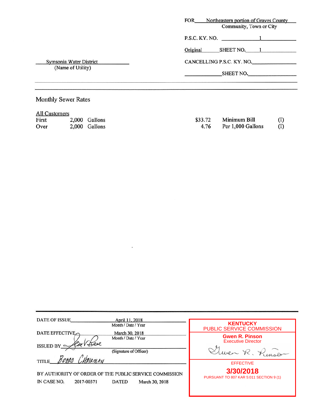|                                              | <b>FOR</b><br>Northeastern portion of Graves County<br>Community, Town or City |
|----------------------------------------------|--------------------------------------------------------------------------------|
|                                              | $P.S.C. KY. NO.$ 1                                                             |
|                                              | Original<br>SHEET NO. 1                                                        |
| Symsonia Water District<br>(Name of Utility) | CANCELLING P.S.C. KY. NO.                                                      |
|                                              | SHEET NO.                                                                      |

# Monthly Sewer Rates

|  | All Customers |
|--|---------------|
|--|---------------|

| First | 2,000 Gallons | \$33.72 | Minimum Bill      |     |
|-------|---------------|---------|-------------------|-----|
| Over  | 2,000 Gallons | 4.76    | Per 1,000 Gallons | (I) |

 $\ddot{\phantom{a}}$ 

| DATE OF ISSUE<br>April 11, 2018<br>Month / Date / Year                                                                    | <b>KENTUCKY</b><br>PUBLIC SERVICE COMMISSION                        |
|---------------------------------------------------------------------------------------------------------------------------|---------------------------------------------------------------------|
| <b>DATE EFFECTIVE</b><br>March 30, 2018<br>Month / Date / Year<br>Deel<br>ISSUED BY $\subseteq$<br>(Signature of Officer) | <b>Gwen R. Pinson</b><br><b>Executive Director</b><br>ven R. Pinson |
| <b>TITLE</b>                                                                                                              | <b>EFFECTIVE</b><br>3/30/2018                                       |
| BY AUTHORITY OF ORDER OF THE PUBLIC SERVICE COMMISSION<br>IN CASE NO.<br>2017-00371<br><b>DATED</b>                       | PURSUANT TO 807 KAR 5:011 SECTION 9 (1)<br>March 30, 2018           |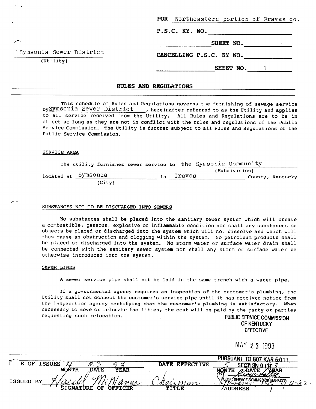| FOR Northeastern portion of Graves co.<br>P.S.C. KY. NO. |           |  |
|----------------------------------------------------------|-----------|--|
|                                                          | SHEET NO. |  |
| CANCELLING P.S.C. KY NO.                                 |           |  |
|                                                          | SHEET NO. |  |

## RULES AND REGULATIONS

This schedule of Rules and Regulations governs the furnishing of sewage service by Symsonia Sewer District , hereinafter referred to as the Utility and applies to all service received from the Utility. All Rules and Regulations are to be in effect so long as they are not in conflict with the rules and regulations of the Public Service Commission. The Utility is further subject to all Rules and Regulations of the Public Service Commission.

#### SERVICE AREA

Svmsonia Sewer District

(Utility)

|  |                     |        |     |        | The utility furnishes sewer service to the Symsonia Community |               |                  |
|--|---------------------|--------|-----|--------|---------------------------------------------------------------|---------------|------------------|
|  | located at Symsonia |        | i n | Graves |                                                               | (Subdivision) | County, Kentucky |
|  |                     | (City) |     |        |                                                               |               |                  |

#### SUBSTANCES NOT TO BE DISCHARGED INTO SEWERS

No substances shall be placed into the sanitary sewer system which will create a combustible, gaseous, explosive or inflammable condition nor shall any substances or objects be placed or discharged into the system which will not dissolve and which will thus cause an obstruction and clogging within the system. No petroleum products shall be placed or discharged into the system. No storm water or surface water drain shall be connected with the sanitary sewer system nor shall any storm or surface water be otherwise introduced into the system.

#### SEWER LINES

A sewer service pipe shall not be laid in the same trench with a water pipe.

If a governmental agency requires an inspection of the customer's plumbing, the Utility shall not connect the customer's service pipe until it has received notice from the inspecction agency certifying that the customer's plumbing is satisfactory. When necessary to move or relocate facilities, the cost will be paid by the party or parties requesting such relocation. The community of the PUBLIC SERVICE COMMISSION

OF KENTUCKY EFFECTIVE

MAY 2 3 1993

|           |                                   |                | PURSUANT TO 807 KAR 5:011                             |
|-----------|-----------------------------------|----------------|-------------------------------------------------------|
| F.<br>OF. | <b>ISSUES</b><br>્ર               | DATE EFFECTIVE | SECTION 9                                             |
|           | YEAR<br>MONTH<br><b>DATE</b>      |                | <b>ZEAR</b><br>латг.<br>MONTH                         |
| ISSUED BY | $M^{\gamma}$                      | MAIXMagr       | publ K<br>C SERVICE COMMISSION MANAGER<br>n I de sula |
|           | <b>OFFICER</b><br>SIGNATURE<br>በኮ | TITLE          | <b>ADDRESS</b>                                        |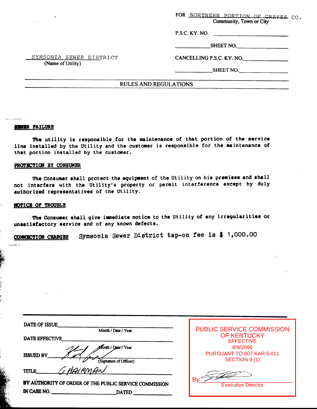**FOR NORTHERN PORTION OF GRAVES CO.** Community, Town or City

P.S.C. KY. NO.

**SHEET** NO.

SYMSONIA SEWER DISTRICT (Name of Utility)

CANCELLING P.S.C. **KY.** NO.

**SHEET NO.** 

## RULES AND REGULATIONS

#### **SEWER FAILURE**

The utility **is** responsible for the maintenance of that portion **of** the service line installed by the Utility and the customer **is** responsible for the maintenance **of**  that portion installed by the customer.

## **PROTECTION BY CONSUMER**

The Consumer shall protect the equipment of the Utility on his premises and shall not interfere with the Utility's property **or** permit interference except by duly authorized representatives of the Utility.

## **NOTIC8 OF TROUBLE**

**The** Consumer shall give imnediate notice **to** the Utility **of** any irregularities **or**  unsatisfactory service and **of** any known defects.

**Symeonia Sewer** Di8trict **tap-on fee 1,000.00**  CONNECTION CHARGES

| PUBLIC SERVICE COMMISSION       |
|---------------------------------|
| <b>OF KENTUCKY</b>              |
| <b>EFFECTIVE</b>                |
| 8/9/2006                        |
| PURSUANT TO 807 KAR 5:011       |
| SECTION 9 (1)                   |
|                                 |
|                                 |
| B٧<br><b>Executive Director</b> |
|                                 |
|                                 |
|                                 |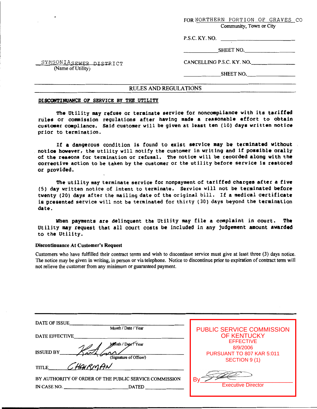FOR NORTHERN PORTION OF GRAVES CO

Community, Town or City

P.S.C. KY. NO.

SHEET NO.

SYMSONIASEWER DISTRICT (Name of Utility)

CANCELLING P.S.C. KY. NO.

SHEET NO.

# RULES AND REGULATIONS

#### **DISCONTINUANCE OF SERVICE BY THE UTILITY**

**The** Utility may refuse or terminate service for noncompliance with its tariffed rules or commission regulations after having made a reasonable effort to obtain custmer compliance. Said customer will be given at least ten **(10)** days written notice prior to termination.

If a dangerous condition is found to exist service may be terminated without notice however, the utility will notify the customer in writing and **if** posrible orally of **the reaoono** for termination **or** refusal. The notice will be recorded along with the corrective action to be taken by the customer **or** the utility before service **is** restored or provided.

The utility may terminate service for nonpayment of tariffed charges after a five **(5)** day written notice of intent to terminate. Service will not **be** terminated before twenty **(20)** days after the mailing date of the original bill. If a medical certificate is presented service **will** not be terminated for thirty (30) days beyond the termination date.

When payments are delinquent the Utility may file a complaint in court. **The**  Utility **may** request that all court costs be included in any judgement amount awarded to the Utility.

## **Discontinuance At Customer's Request**

Customers who have fulfilled their contract terms and wish to discontinue service must give at least three (3) days notice. The notice may be given in writing, in person or via telephone. Notice to discontinue prior to expiration of contract term will not relieve the customer from any minimum or guaranteed payment.

| DATE OF ISSUE                                          |                                  |
|--------------------------------------------------------|----------------------------------|
| Month / Date / Year                                    | <b>PUBLIC SERVICE COMMISSION</b> |
| DATE EFFECTIVE                                         | <b>OF KENTUCKY</b>               |
| Month / Date/Year                                      | <b>EFFECTIVE</b><br>8/9/2006     |
| <b>ISSUED BY</b><br>(Signature of Officer)             | PURSUANT TO 807 KAR 5:011        |
| HARMAN<br>TITLE_                                       | SECTION 9(1)                     |
| BY AUTHORITY OF ORDER OF THE PUBLIC SERVICE COMMISSION | B١<br><b>Executive Director</b>  |
| IN CASE NO.<br><b>DATED</b>                            |                                  |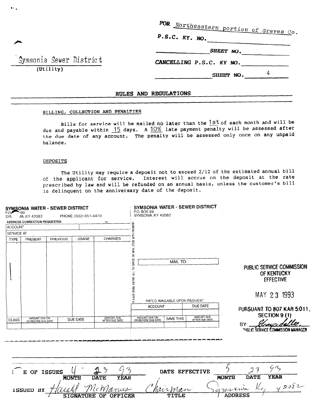FOR Northeastern portion of Graves Co.

 $P.S.C. KY. NO.$ 

SHEET NO.

CANCELLING P.S.C. KY NO.

SHEET NO.  $4$ 

Symsonia Sewer District  $(\overline{Utility})$ 

 $\bullet$ 

# RULES AND REGULATIONS

# BILLING, COLLECTION AND PENALTIES

Bills for service will be mailed no later than the 1st of each month and will be due and payable within  $15$  days. A  $10\%$  late payment penalty will be assessed after the due date of any account. The penalty will be assessed only once on any unpaid balance.

## DEPOSITS

The Utility may require a deposit not to exceed 2/12 of the estimated annual bill of the applicant for service. Interest will accrue on the deposit at the rate prescribed by law and will be refunded on an annual basis, unless the customer's bill is delinquent on the anniversary date of the deposit.

| PO <del></del><br>SYN. | SYMSONIA WATER - SEWER DISTRICT<br>- 99<br>JIA, KY 42082 | PHONE: (502) 851-4470        |                                                                    | SYMSONIA WATER - SEWER DISTRICT<br>P.O. BOX 99<br>SYMSONIA, KY 42082 |                              |                              |                |                  |                                                                             |
|------------------------|----------------------------------------------------------|------------------------------|--------------------------------------------------------------------|----------------------------------------------------------------------|------------------------------|------------------------------|----------------|------------------|-----------------------------------------------------------------------------|
|                        | ADDRESS CORRECTION REQUESTED                             | TO.                          |                                                                    |                                                                      |                              |                              |                |                  |                                                                             |
| <b>ACCOUNT</b>         |                                                          |                              |                                                                    |                                                                      |                              |                              |                |                  |                                                                             |
| SERVICE AT             |                                                          |                              |                                                                    |                                                                      |                              |                              |                |                  |                                                                             |
| <b>TYPE</b>            | PREVIOUS<br>PRESENT                                      | <b>USAGE</b>                 | ⋚<br><b>CHARGES</b><br><b>STUB</b>                                 |                                                                      |                              |                              |                |                  |                                                                             |
|                        |                                                          |                              | MAIL<br>g<br>OFFICE<br>₽<br>$\exists$<br>ENTIRE<br>BRING<br>PLEASE |                                                                      | MAIL TO:                     |                              |                |                  | PUBLIC SERVICE COMMISSION<br>OF KENTUCKY<br><b>EFFECTIVE</b><br>MAY 23 1993 |
|                        |                                                          |                              |                                                                    |                                                                      | RATES AVAILABLE UPON REQUEST |                              |                |                  |                                                                             |
|                        |                                                          |                              |                                                                    | <b>ACCOUNT</b>                                                       |                              | DUE DATE                     |                |                  | PURSUANT TO 807 KAR 5:011.                                                  |
|                        | AMOUNT DUE ON                                            |                              | AMOUNT DUE                                                         |                                                                      | <b>SAVE THIS</b>             | AMOUNT DUE<br>AFTER DUE DATE |                |                  | <b>SECTION 9 (1)</b>                                                        |
| <b>CLASS</b>           | DUE DATE<br>OR BEFORE DUE DATE                           |                              | AFTER DUE DATE                                                     | AMOUNT DUE ON OR BEFORE DUE DATE                                     |                              |                              |                | BY               |                                                                             |
|                        |                                                          |                              |                                                                    |                                                                      |                              |                              |                |                  | PUBLIC SERVICE COMMISSION MANAGER                                           |
|                        | E OF ISSUES<br><b>MONTH</b>                              | $\mathcal{P}$<br><b>DATE</b> | $\mathcal{L}_{\mathcal{L}_{\mathcal{L}}}$<br>Li<br><b>YEAR</b>     |                                                                      |                              | DATE EFFECTIVE               | <b>MONTH</b>   | 3<br><b>DATE</b> | 43<br><b>YEAR</b>                                                           |
|                        | ISSUED BY                                                |                              | nus                                                                | Nov                                                                  |                              |                              | $\alpha$ wer   |                  | 42082                                                                       |
|                        |                                                          | <b>SIGNATURE OF OFFICER</b>  |                                                                    |                                                                      | TITLE                        |                              | <b>ADDRESS</b> |                  |                                                                             |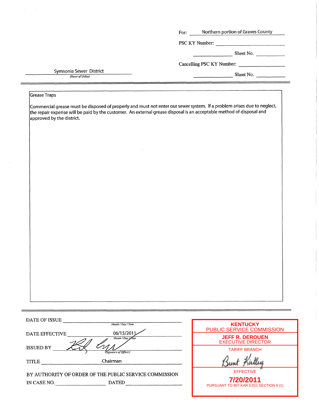|                                              | Northern portion of Graves County<br>For:                                                                                                                                                                                                       |
|----------------------------------------------|-------------------------------------------------------------------------------------------------------------------------------------------------------------------------------------------------------------------------------------------------|
|                                              | PSC KY Number:                                                                                                                                                                                                                                  |
|                                              | $\sum_{n=1}^{\infty}$ Sheet No.                                                                                                                                                                                                                 |
|                                              | Cancelling PSC KY Number:                                                                                                                                                                                                                       |
| Symsonia Sewer District<br>(Name of Utility) | Sheet No.                                                                                                                                                                                                                                       |
|                                              |                                                                                                                                                                                                                                                 |
| <b>Grease Traps</b>                          |                                                                                                                                                                                                                                                 |
| approved by the district.                    | Commercial grease must be disposed of properly and must not enter our sewer system. If a problem arises due to neglect,<br>the repair expense will be paid by the customer. An external grease disposal is an acceptable method of disposal and |
|                                              |                                                                                                                                                                                                                                                 |
|                                              |                                                                                                                                                                                                                                                 |
|                                              |                                                                                                                                                                                                                                                 |
|                                              |                                                                                                                                                                                                                                                 |
|                                              |                                                                                                                                                                                                                                                 |
|                                              |                                                                                                                                                                                                                                                 |
|                                              |                                                                                                                                                                                                                                                 |
|                                              |                                                                                                                                                                                                                                                 |
|                                              |                                                                                                                                                                                                                                                 |
|                                              |                                                                                                                                                                                                                                                 |
|                                              |                                                                                                                                                                                                                                                 |
|                                              |                                                                                                                                                                                                                                                 |
|                                              |                                                                                                                                                                                                                                                 |
|                                              |                                                                                                                                                                                                                                                 |
|                                              |                                                                                                                                                                                                                                                 |
|                                              |                                                                                                                                                                                                                                                 |
|                                              |                                                                                                                                                                                                                                                 |
|                                              |                                                                                                                                                                                                                                                 |
| DATE OF ISSUE                                |                                                                                                                                                                                                                                                 |
|                                              | Month / Day / Year<br><b>KENTUCKY</b><br>PUBLIC SERVICE COMMISSION                                                                                                                                                                              |
| DATE EFFECTIVE                               | 06/15/201<br><b>JEFF R. DEROUEN</b><br>Month / Day / Year<br><b>EXECUTIVE DIRECTOR</b>                                                                                                                                                          |
| ISSUED BY<br>(Signature of Officer)          | <b>TARIFF BRANCH</b>                                                                                                                                                                                                                            |
| Chairman<br><b>TITLE</b>                     |                                                                                                                                                                                                                                                 |

| BY AUTHORITY OF ORDER OF THE PUBLIC SERVICE COMMISSION |              |  |
|--------------------------------------------------------|--------------|--|
| IN CASE NO.                                            | <b>DATED</b> |  |

 $\mathcal{F}^{\text{in}}_{\text{in}}(\mathcal{L})$  ,  $\mathcal{F}^{\text{in}}_{\text{out}}$ 

 $\sim$   $\sim$ 

| <b>PUBLIC SERVICE COMMISSION</b>                     |  |
|------------------------------------------------------|--|
| <b>JEFF R. DEROUEN</b><br><b>EXECUTIVE DIRECTOR</b>  |  |
| <b>TARIFF BRANCH</b>                                 |  |
|                                                      |  |
| <b>FFFFCTIVE</b>                                     |  |
| 7/20/2011<br>PURSUANT TO 807 KAR 5:011 SECTION 9 (1) |  |
|                                                      |  |